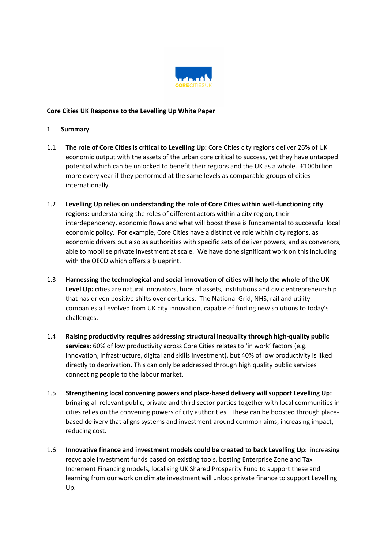

## Core Cities UK Response to the Levelling Up White Paper

## 1 Summary

- 1.1 The role of Core Cities is critical to Levelling Up: Core Cities city regions deliver 26% of UK economic output with the assets of the urban core critical to success, yet they have untapped potential which can be unlocked to benefit their regions and the UK as a whole. £100billion more every year if they performed at the same levels as comparable groups of cities internationally.
- 1.2 Levelling Up relies on understanding the role of Core Cities within well-functioning city regions: understanding the roles of different actors within a city region, their interdependency, economic flows and what will boost these is fundamental to successful local economic policy. For example, Core Cities have a distinctive role within city regions, as economic drivers but also as authorities with specific sets of deliver powers, and as convenors, able to mobilise private investment at scale. We have done significant work on this including with the OECD which offers a blueprint.
- 1.3 Harnessing the technological and social innovation of cities will help the whole of the UK Level Up: cities are natural innovators, hubs of assets, institutions and civic entrepreneurship that has driven positive shifts over centuries. The National Grid, NHS, rail and utility companies all evolved from UK city innovation, capable of finding new solutions to today's challenges.
- 1.4 Raising productivity requires addressing structural inequality through high-quality public services: 60% of low productivity across Core Cities relates to 'in work' factors (e.g. innovation, infrastructure, digital and skills investment), but 40% of low productivity is liked directly to deprivation. This can only be addressed through high quality public services connecting people to the labour market.
- 1.5 Strengthening local convening powers and place-based delivery will support Levelling Up: bringing all relevant public, private and third sector parties together with local communities in cities relies on the convening powers of city authorities. These can be boosted through placebased delivery that aligns systems and investment around common aims, increasing impact, reducing cost.
- 1.6 Innovative finance and investment models could be created to back Levelling Up: increasing recyclable investment funds based on existing tools, bosting Enterprise Zone and Tax Increment Financing models, localising UK Shared Prosperity Fund to support these and learning from our work on climate investment will unlock private finance to support Levelling Up.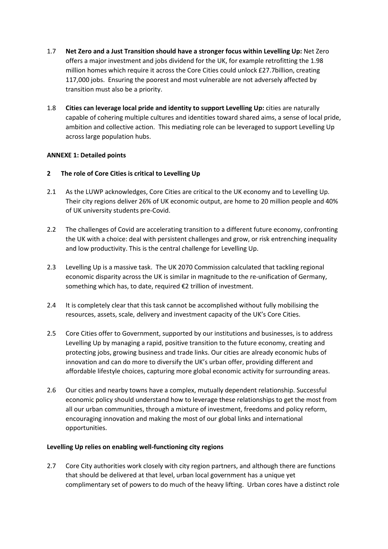- 1.7 Net Zero and a Just Transition should have a stronger focus within Levelling Up: Net Zero offers a major investment and jobs dividend for the UK, for example retrofitting the 1.98 million homes which require it across the Core Cities could unlock £27.7billion, creating 117,000 jobs. Ensuring the poorest and most vulnerable are not adversely affected by transition must also be a priority.
- 1.8 Cities can leverage local pride and identity to support Levelling Up: cities are naturally capable of cohering multiple cultures and identities toward shared aims, a sense of local pride, ambition and collective action. This mediating role can be leveraged to support Levelling Up across large population hubs.

# ANNEXE 1: Detailed points

## 2 The role of Core Cities is critical to Levelling Up

- 2.1 As the LUWP acknowledges, Core Cities are critical to the UK economy and to Levelling Up. Their city regions deliver 26% of UK economic output, are home to 20 million people and 40% of UK university students pre-Covid.
- 2.2 The challenges of Covid are accelerating transition to a different future economy, confronting the UK with a choice: deal with persistent challenges and grow, or risk entrenching inequality and low productivity. This is the central challenge for Levelling Up.
- 2.3 Levelling Up is a massive task. The UK 2070 Commission calculated that tackling regional economic disparity across the UK is similar in magnitude to the re-unification of Germany, something which has, to date, required €2 trillion of investment.
- 2.4 It is completely clear that this task cannot be accomplished without fully mobilising the resources, assets, scale, delivery and investment capacity of the UK's Core Cities.
- 2.5 Core Cities offer to Government, supported by our institutions and businesses, is to address Levelling Up by managing a rapid, positive transition to the future economy, creating and protecting jobs, growing business and trade links. Our cities are already economic hubs of innovation and can do more to diversify the UK's urban offer, providing different and affordable lifestyle choices, capturing more global economic activity for surrounding areas.
- 2.6 Our cities and nearby towns have a complex, mutually dependent relationship. Successful economic policy should understand how to leverage these relationships to get the most from all our urban communities, through a mixture of investment, freedoms and policy reform, encouraging innovation and making the most of our global links and international opportunities.

### Levelling Up relies on enabling well-functioning city regions

2.7 Core City authorities work closely with city region partners, and although there are functions that should be delivered at that level, urban local government has a unique yet complimentary set of powers to do much of the heavy lifting. Urban cores have a distinct role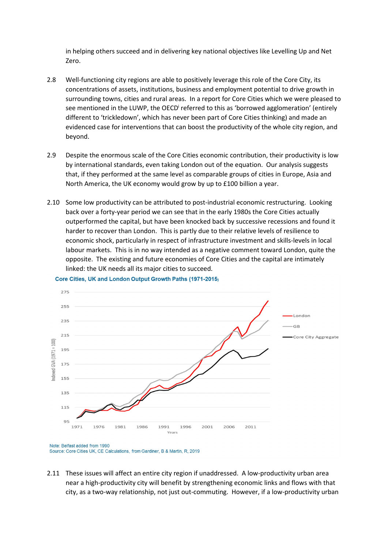in helping others succeed and in delivering key national objectives like Levelling Up and Net Zero.

- 2.8 Well-functioning city regions are able to positively leverage this role of the Core City, its concentrations of assets, institutions, business and employment potential to drive growth in surrounding towns, cities and rural areas. In a report for Core Cities which we were pleased to see mentioned in the LUWP, the OECD<sup>i</sup> referred to this as 'borrowed agglomeration' (entirely different to 'trickledown', which has never been part of Core Cities thinking) and made an evidenced case for interventions that can boost the productivity of the whole city region, and beyond.
- 2.9 Despite the enormous scale of the Core Cities economic contribution, their productivity is low by international standards, even taking London out of the equation. Our analysis suggests that, if they performed at the same level as comparable groups of cities in Europe, Asia and North America, the UK economy would grow by up to £100 billion a year.
- 2.10 Some low productivity can be attributed to post-industrial economic restructuring. Looking back over a forty-year period we can see that in the early 1980s the Core Cities actually outperformed the capital, but have been knocked back by successive recessions and found it harder to recover than London. This is partly due to their relative levels of resilience to economic shock, particularly in respect of infrastructure investment and skills-levels in local labour markets. This is in no way intended as a negative comment toward London, quite the opposite. The existing and future economies of Core Cities and the capital are intimately linked: the UK needs all its major cities to succeed.



Core Cities. UK and London Output Growth Paths (1971-2015)

2.11 These issues will affect an entire city region if unaddressed. A low-productivity urban area near a high-productivity city will benefit by strengthening economic links and flows with that city, as a two-way relationship, not just out-commuting. However, if a low-productivity urban

Note: Belfast added from 1990 Source: Core Cities UK, CE Calculations, from Gardiner, B & Martin, R, 2019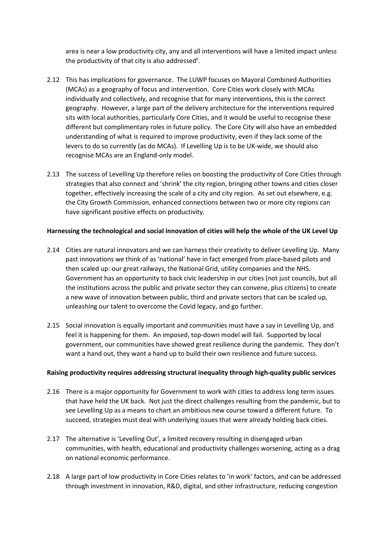area is near a low productivity city, any and all interventions will have a limited impact unless the productivity of that city is also addressed<sup>ii</sup>.

- 2.12 This has implications for governance. The LUWP focuses on Mayoral Combined Authorities (MCAs) as a geography of focus and intervention. Core Cities work closely with MCAs individually and collectively, and recognise that for many interventions, this is the correct geography. However, a large part of the delivery architecture for the interventions required sits with local authorities, particularly Core Cities, and it would be useful to recognise these different but complimentary roles in future policy. The Core City will also have an embedded understanding of what is required to improve productivity, even if they lack some of the levers to do so currently (as do MCAs). If Levelling Up is to be UK-wide, we should also recognise MCAs are an England-only model.
- 2.13 The success of Levelling Up therefore relies on boosting the productivity of Core Cities through strategies that also connect and 'shrink' the city region, bringing other towns and cities closer together, effectively increasing the scale of a city and city region. As set out elsewhere, e.g. the City Growth Commission, enhanced connections between two or more city regions can have significant positive effects on productivity.

### Harnessing the technological and social innovation of cities will help the whole of the UK Level Up

- 2.14 Cities are natural innovators and we can harness their creativity to deliver Levelling Up. Many past innovations we think of as 'national' have in fact emerged from place-based pilots and then scaled up: our great railways, the National Grid, utility companies and the NHS. Government has an opportunity to back civic leadership in our cities (not just councils, but all the institutions across the public and private sector they can convene, plus citizens) to create a new wave of innovation between public, third and private sectors that can be scaled up, unleashing our talent to overcome the Covid legacy, and go further.
- 2.15 Social innovation is equally important and communities must have a say in Levelling Up, and feel it is happening for them. An imposed, top-down model will fail. Supported by local government, our communities have showed great resilience during the pandemic. They don't want a hand out, they want a hand up to build their own resilience and future success.

#### Raising productivity requires addressing structural inequality through high-quality public services

- 2.16 There is a major opportunity for Government to work with cities to address long term issues that have held the UK back. Not just the direct challenges resulting from the pandemic, but to see Levelling Up as a means to chart an ambitious new course toward a different future. To succeed, strategies must deal with underlying issues that were already holding back cities.
- 2.17 The alternative is 'Levelling Out', a limited recovery resulting in disengaged urban communities, with health, educational and productivity challenges worsening, acting as a drag on national economic performance.
- 2.18 A large part of low productivity in Core Cities relates to 'in work' factors, and can be addressed through investment in innovation, R&D, digital, and other infrastructure, reducing congestion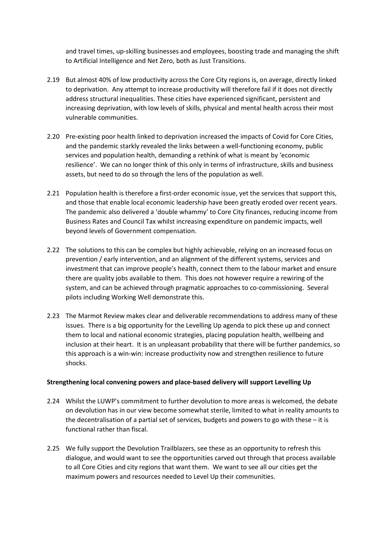and travel times, up-skilling businesses and employees, boosting trade and managing the shift to Artificial Intelligence and Net Zero, both as Just Transitions.

- 2.19 But almost 40% of low productivity across the Core City regions is, on average, directly linked to deprivation. Any attempt to increase productivity will therefore fail if it does not directly address structural inequalities. These cities have experienced significant, persistent and increasing deprivation, with low levels of skills, physical and mental health across their most vulnerable communities.
- 2.20 Pre-existing poor health linked to deprivation increased the impacts of Covid for Core Cities, and the pandemic starkly revealed the links between a well-functioning economy, public services and population health, demanding a rethink of what is meant by 'economic resilience'. We can no longer think of this only in terms of infrastructure, skills and business assets, but need to do so through the lens of the population as well.
- 2.21 Population health is therefore a first-order economic issue, yet the services that support this, and those that enable local economic leadership have been greatly eroded over recent years. The pandemic also delivered a 'double whammy' to Core City finances, reducing income from Business Rates and Council Tax whilst increasing expenditure on pandemic impacts, well beyond levels of Government compensation.
- 2.22 The solutions to this can be complex but highly achievable, relying on an increased focus on prevention / early intervention, and an alignment of the different systems, services and investment that can improve people's health, connect them to the labour market and ensure there are quality jobs available to them. This does not however require a rewiring of the system, and can be achieved through pragmatic approaches to co-commissioning. Several pilots including Working Well demonstrate this.
- 2.23 The Marmot Review makes clear and deliverable recommendations to address many of these issues. There is a big opportunity for the Levelling Up agenda to pick these up and connect them to local and national economic strategies, placing population health, wellbeing and inclusion at their heart. It is an unpleasant probability that there will be further pandemics, so this approach is a win-win: increase productivity now and strengthen resilience to future shocks.

### Strengthening local convening powers and place-based delivery will support Levelling Up

- 2.24 Whilst the LUWP's commitment to further devolution to more areas is welcomed, the debate on devolution has in our view become somewhat sterile, limited to what in reality amounts to the decentralisation of a partial set of services, budgets and powers to go with these – it is functional rather than fiscal.
- 2.25 We fully support the Devolution Trailblazers, see these as an opportunity to refresh this dialogue, and would want to see the opportunities carved out through that process available to all Core Cities and city regions that want them. We want to see all our cities get the maximum powers and resources needed to Level Up their communities.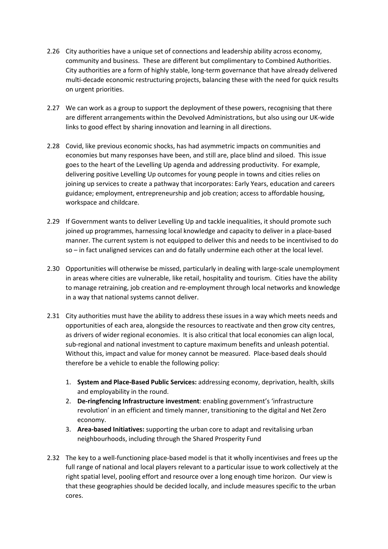- 2.26 City authorities have a unique set of connections and leadership ability across economy, community and business. These are different but complimentary to Combined Authorities. City authorities are a form of highly stable, long-term governance that have already delivered multi-decade economic restructuring projects, balancing these with the need for quick results on urgent priorities.
- 2.27 We can work as a group to support the deployment of these powers, recognising that there are different arrangements within the Devolved Administrations, but also using our UK-wide links to good effect by sharing innovation and learning in all directions.
- 2.28 Covid, like previous economic shocks, has had asymmetric impacts on communities and economies but many responses have been, and still are, place blind and siloed. This issue goes to the heart of the Levelling Up agenda and addressing productivity. For example, delivering positive Levelling Up outcomes for young people in towns and cities relies on joining up services to create a pathway that incorporates: Early Years, education and careers guidance; employment, entrepreneurship and job creation; access to affordable housing, workspace and childcare.
- 2.29 If Government wants to deliver Levelling Up and tackle inequalities, it should promote such joined up programmes, harnessing local knowledge and capacity to deliver in a place-based manner. The current system is not equipped to deliver this and needs to be incentivised to do so – in fact unaligned services can and do fatally undermine each other at the local level.
- 2.30 Opportunities will otherwise be missed, particularly in dealing with large-scale unemployment in areas where cities are vulnerable, like retail, hospitality and tourism. Cities have the ability to manage retraining, job creation and re-employment through local networks and knowledge in a way that national systems cannot deliver.
- 2.31 City authorities must have the ability to address these issues in a way which meets needs and opportunities of each area, alongside the resources to reactivate and then grow city centres, as drivers of wider regional economies. It is also critical that local economies can align local, sub-regional and national investment to capture maximum benefits and unleash potential. Without this, impact and value for money cannot be measured. Place-based deals should therefore be a vehicle to enable the following policy:
	- 1. System and Place-Based Public Services: addressing economy, deprivation, health, skills and employability in the round.
	- 2. De-ringfencing Infrastructure investment: enabling government's 'infrastructure revolution' in an efficient and timely manner, transitioning to the digital and Net Zero economy.
	- 3. Area-based Initiatives: supporting the urban core to adapt and revitalising urban neighbourhoods, including through the Shared Prosperity Fund
- 2.32 The key to a well-functioning place-based model is that it wholly incentivises and frees up the full range of national and local players relevant to a particular issue to work collectively at the right spatial level, pooling effort and resource over a long enough time horizon. Our view is that these geographies should be decided locally, and include measures specific to the urban cores.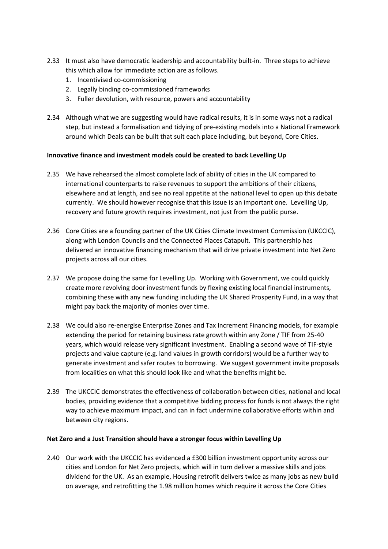- 2.33 It must also have democratic leadership and accountability built-in. Three steps to achieve this which allow for immediate action are as follows.
	- 1. Incentivised co-commissioning
	- 2. Legally binding co-commissioned frameworks
	- 3. Fuller devolution, with resource, powers and accountability
- 2.34 Although what we are suggesting would have radical results, it is in some ways not a radical step, but instead a formalisation and tidying of pre-existing models into a National Framework around which Deals can be built that suit each place including, but beyond, Core Cities.

# Innovative finance and investment models could be created to back Levelling Up

- 2.35 We have rehearsed the almost complete lack of ability of cities in the UK compared to international counterparts to raise revenues to support the ambitions of their citizens, elsewhere and at length, and see no real appetite at the national level to open up this debate currently. We should however recognise that this issue is an important one. Levelling Up, recovery and future growth requires investment, not just from the public purse.
- 2.36 Core Cities are a founding partner of the UK Cities Climate Investment Commission (UKCCIC), along with London Councils and the Connected Places Catapult. This partnership has delivered an innovative financing mechanism that will drive private investment into Net Zero projects across all our cities.
- 2.37 We propose doing the same for Levelling Up. Working with Government, we could quickly create more revolving door investment funds by flexing existing local financial instruments, combining these with any new funding including the UK Shared Prosperity Fund, in a way that might pay back the majority of monies over time.
- 2.38 We could also re-energise Enterprise Zones and Tax Increment Financing models, for example extending the period for retaining business rate growth within any Zone / TIF from 25-40 years, which would release very significant investment. Enabling a second wave of TIF-style projects and value capture (e.g. land values in growth corridors) would be a further way to generate investment and safer routes to borrowing. We suggest government invite proposals from localities on what this should look like and what the benefits might be.
- 2.39 The UKCCIC demonstrates the effectiveness of collaboration between cities, national and local bodies, providing evidence that a competitive bidding process for funds is not always the right way to achieve maximum impact, and can in fact undermine collaborative efforts within and between city regions.

### Net Zero and a Just Transition should have a stronger focus within Levelling Up

2.40 Our work with the UKCCIC has evidenced a £300 billion investment opportunity across our cities and London for Net Zero projects, which will in turn deliver a massive skills and jobs dividend for the UK. As an example, Housing retrofit delivers twice as many jobs as new build on average, and retrofitting the 1.98 million homes which require it across the Core Cities